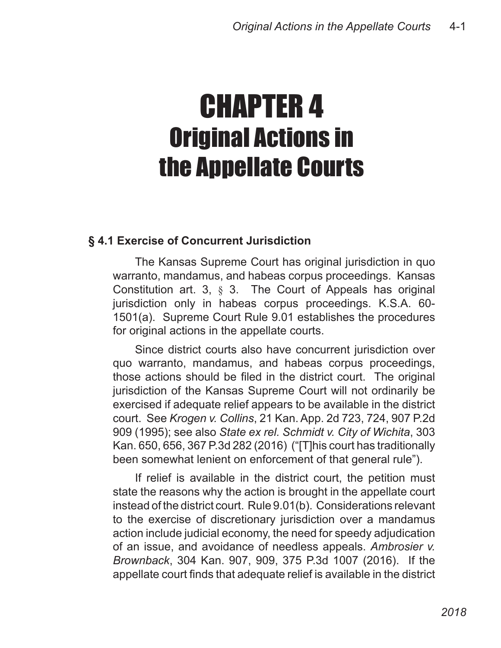# CHAPTER 4 Original Actions in the Appellate Courts

## **§ 4.1 Exercise of Concurrent Jurisdiction**

The Kansas Supreme Court has original jurisdiction in quo warranto, mandamus, and habeas corpus proceedings. Kansas Constitution art. 3, § 3. The Court of Appeals has original jurisdiction only in habeas corpus proceedings. K.S.A. 60- 1501(a). Supreme Court Rule 9.01 establishes the procedures for original actions in the appellate courts.

Since district courts also have concurrent jurisdiction over quo warranto, mandamus, and habeas corpus proceedings, those actions should be filed in the district court. The original jurisdiction of the Kansas Supreme Court will not ordinarily be exercised if adequate relief appears to be available in the district court. See *Krogen v. Collins*, 21 Kan. App. 2d 723, 724, 907 P.2d 909 (1995); see also *State ex rel. Schmidt v. City of Wichita*, 303 Kan. 650, 656, 367 P.3d 282 (2016) ("[T]his court has traditionally been somewhat lenient on enforcement of that general rule").

If relief is available in the district court, the petition must state the reasons why the action is brought in the appellate court instead of the district court. Rule 9.01(b). Considerations relevant to the exercise of discretionary jurisdiction over a mandamus action include judicial economy, the need for speedy adjudication of an issue, and avoidance of needless appeals. *Ambrosier v. Brownback*, 304 Kan. 907, 909, 375 P.3d 1007 (2016). If the appellate court finds that adequate relief is available in the district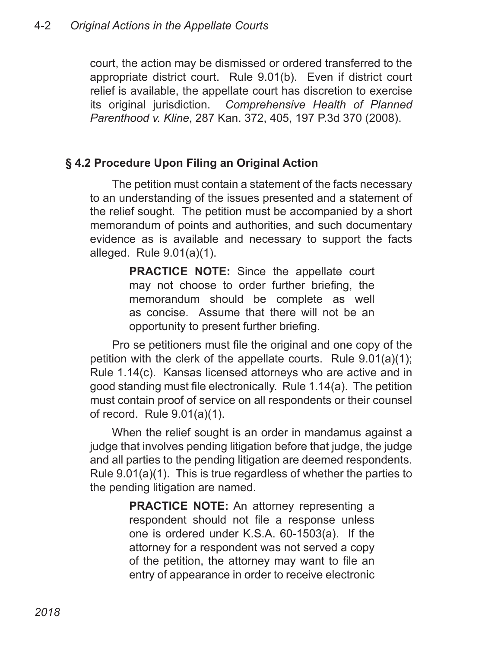court, the action may be dismissed or ordered transferred to the appropriate district court. Rule 9.01(b). Even if district court relief is available, the appellate court has discretion to exercise its original jurisdiction. *Comprehensive Health of Planned Parenthood v. Kline*, 287 Kan. 372, 405, 197 P.3d 370 (2008).

## **§ 4.2 Procedure Upon Filing an Original Action**

The petition must contain a statement of the facts necessary to an understanding of the issues presented and a statement of the relief sought. The petition must be accompanied by a short memorandum of points and authorities, and such documentary evidence as is available and necessary to support the facts alleged. Rule 9.01(a)(1).

> **PRACTICE NOTE:** Since the appellate court may not choose to order further briefing, the memorandum should be complete as well as concise. Assume that there will not be an opportunity to present further briefing.

Pro se petitioners must file the original and one copy of the petition with the clerk of the appellate courts. Rule 9.01(a)(1); Rule 1.14(c). Kansas licensed attorneys who are active and in good standing must file electronically. Rule 1.14(a). The petition must contain proof of service on all respondents or their counsel of record. Rule 9.01(a)(1).

When the relief sought is an order in mandamus against a judge that involves pending litigation before that judge, the judge and all parties to the pending litigation are deemed respondents. Rule 9.01(a)(1). This is true regardless of whether the parties to the pending litigation are named.

> **PRACTICE NOTE:** An attorney representing a respondent should not file a response unless one is ordered under K.S.A. 60-1503(a). If the attorney for a respondent was not served a copy of the petition, the attorney may want to file an entry of appearance in order to receive electronic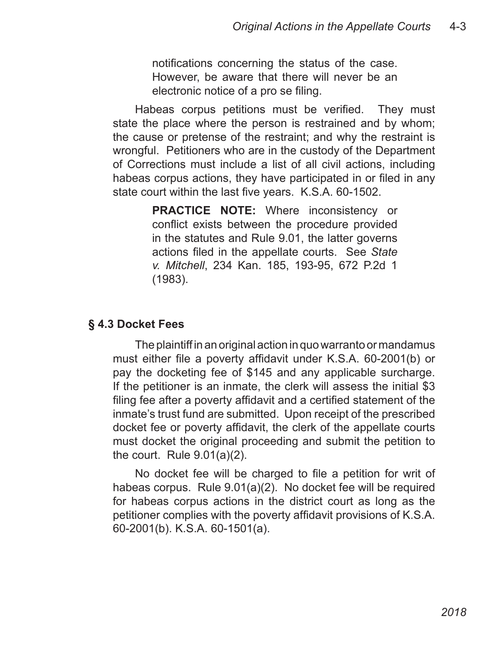notifications concerning the status of the case. However, be aware that there will never be an electronic notice of a pro se filing.

Habeas corpus petitions must be verified. They must state the place where the person is restrained and by whom; the cause or pretense of the restraint; and why the restraint is wrongful. Petitioners who are in the custody of the Department of Corrections must include a list of all civil actions, including habeas corpus actions, they have participated in or filed in any state court within the last five years. K.S.A. 60-1502.

> **PRACTICE NOTE:** Where inconsistency or conflict exists between the procedure provided in the statutes and Rule 9.01, the latter governs actions filed in the appellate courts. See *State v. Mitchell*, 234 Kan. 185, 193-95, 672 P.2d 1 (1983).

## **§ 4.3 Docket Fees**

The plaintiff in an original action in quo warranto or mandamus must either file a poverty affidavit under K.S.A. 60-2001(b) or pay the docketing fee of \$145 and any applicable surcharge. If the petitioner is an inmate, the clerk will assess the initial \$3 filing fee after a poverty affidavit and a certified statement of the inmate's trust fund are submitted. Upon receipt of the prescribed docket fee or poverty affidavit, the clerk of the appellate courts must docket the original proceeding and submit the petition to the court. Rule 9.01(a)(2).

No docket fee will be charged to file a petition for writ of habeas corpus. Rule 9.01(a)(2). No docket fee will be required for habeas corpus actions in the district court as long as the petitioner complies with the poverty affidavit provisions of K.S.A. 60-2001(b). K.S.A. 60-1501(a).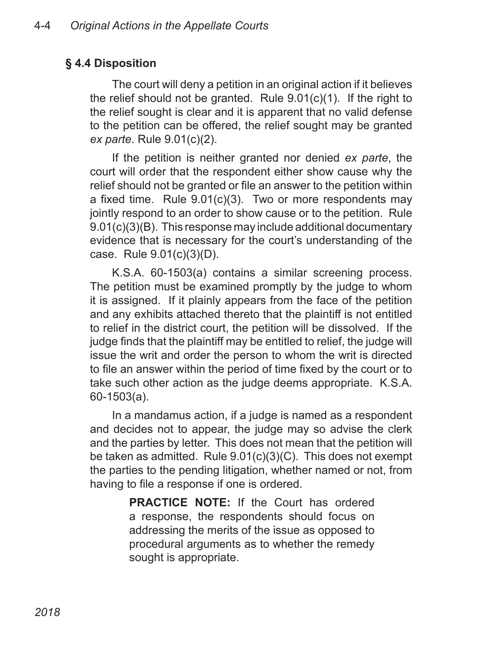## **§ 4.4 Disposition**

The court will deny a petition in an original action if it believes the relief should not be granted. Rule 9.01(c)(1). If the right to the relief sought is clear and it is apparent that no valid defense to the petition can be offered, the relief sought may be granted *ex parte*. Rule 9.01(c)(2).

If the petition is neither granted nor denied *ex parte*, the court will order that the respondent either show cause why the relief should not be granted or file an answer to the petition within a fixed time. Rule 9.01(c)(3). Two or more respondents may jointly respond to an order to show cause or to the petition. Rule 9.01(c)(3)(B). This response may include additional documentary evidence that is necessary for the court's understanding of the case. Rule 9.01(c)(3)(D).

K.S.A. 60-1503(a) contains a similar screening process. The petition must be examined promptly by the judge to whom it is assigned. If it plainly appears from the face of the petition and any exhibits attached thereto that the plaintiff is not entitled to relief in the district court, the petition will be dissolved. If the judge finds that the plaintiff may be entitled to relief, the judge will issue the writ and order the person to whom the writ is directed to file an answer within the period of time fixed by the court or to take such other action as the judge deems appropriate. K.S.A. 60-1503(a).

In a mandamus action, if a judge is named as a respondent and decides not to appear, the judge may so advise the clerk and the parties by letter. This does not mean that the petition will be taken as admitted. Rule 9.01(c)(3)(C). This does not exempt the parties to the pending litigation, whether named or not, from having to file a response if one is ordered.

> **PRACTICE NOTE:** If the Court has ordered a response, the respondents should focus on addressing the merits of the issue as opposed to procedural arguments as to whether the remedy sought is appropriate.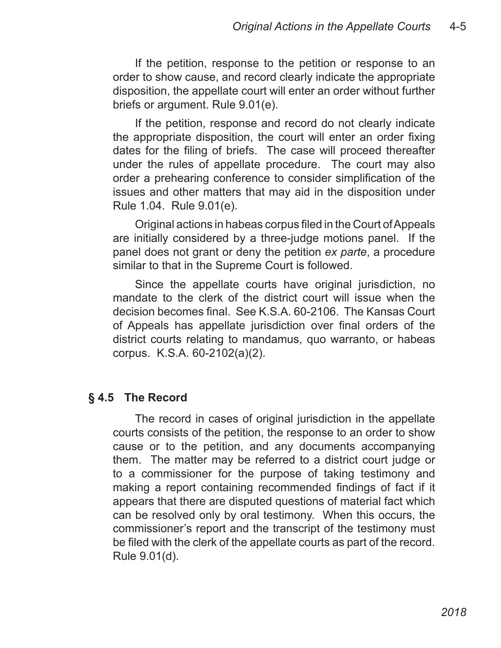If the petition, response to the petition or response to an order to show cause, and record clearly indicate the appropriate disposition, the appellate court will enter an order without further briefs or argument. Rule 9.01(e).

If the petition, response and record do not clearly indicate the appropriate disposition, the court will enter an order fixing dates for the filing of briefs. The case will proceed thereafter under the rules of appellate procedure. The court may also order a prehearing conference to consider simplification of the issues and other matters that may aid in the disposition under Rule 1.04. Rule 9.01(e).

Original actions in habeas corpus filed in the Court of Appeals are initially considered by a three-judge motions panel. If the panel does not grant or deny the petition *ex parte*, a procedure similar to that in the Supreme Court is followed.

Since the appellate courts have original jurisdiction, no mandate to the clerk of the district court will issue when the decision becomes final. See K.S.A. 60-2106. The Kansas Court of Appeals has appellate jurisdiction over final orders of the district courts relating to mandamus, quo warranto, or habeas corpus. K.S.A. 60-2102(a)(2).

#### **§ 4.5 The Record**

The record in cases of original jurisdiction in the appellate courts consists of the petition, the response to an order to show cause or to the petition, and any documents accompanying them. The matter may be referred to a district court judge or to a commissioner for the purpose of taking testimony and making a report containing recommended findings of fact if it appears that there are disputed questions of material fact which can be resolved only by oral testimony. When this occurs, the commissioner's report and the transcript of the testimony must be filed with the clerk of the appellate courts as part of the record. Rule 9.01(d).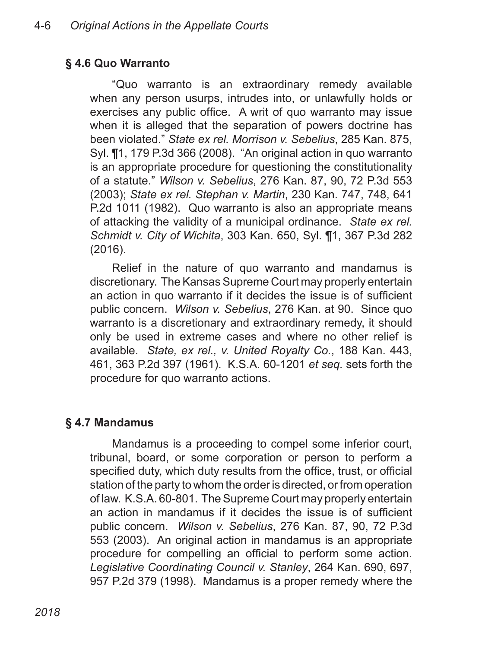## **§ 4.6 Quo Warranto**

"Quo warranto is an extraordinary remedy available when any person usurps, intrudes into, or unlawfully holds or exercises any public office. A writ of quo warranto may issue when it is alleged that the separation of powers doctrine has been violated." *State ex rel. Morrison v. Sebelius*, 285 Kan. 875, Syl. ¶1, 179 P.3d 366 (2008). "An original action in quo warranto is an appropriate procedure for questioning the constitutionality of a statute." *Wilson v. Sebelius*, 276 Kan. 87, 90, 72 P.3d 553 (2003); *State ex rel. Stephan v. Martin*, 230 Kan. 747, 748, 641 P.2d 1011 (1982). Quo warranto is also an appropriate means of attacking the validity of a municipal ordinance. *State ex rel. Schmidt v. City of Wichita*, 303 Kan. 650, Syl. ¶1, 367 P.3d 282 (2016).

Relief in the nature of quo warranto and mandamus is discretionary. The Kansas Supreme Court may properly entertain an action in quo warranto if it decides the issue is of sufficient public concern. *Wilson v. Sebelius*, 276 Kan. at 90. Since quo warranto is a discretionary and extraordinary remedy, it should only be used in extreme cases and where no other relief is available. *State, ex rel., v. United Royalty Co.*, 188 Kan. 443, 461, 363 P.2d 397 (1961). K.S.A. 60-1201 *et seq.* sets forth the procedure for quo warranto actions.

### **§ 4.7 Mandamus**

Mandamus is a proceeding to compel some inferior court, tribunal, board, or some corporation or person to perform a specified duty, which duty results from the office, trust, or official station of the party to whom the order is directed, or from operation of law. K.S.A. 60-801. The Supreme Court may properly entertain an action in mandamus if it decides the issue is of sufficient public concern. *Wilson v. Sebelius*, 276 Kan. 87, 90, 72 P.3d 553 (2003). An original action in mandamus is an appropriate procedure for compelling an official to perform some action. *Legislative Coordinating Council v. Stanley*, 264 Kan. 690, 697, 957 P.2d 379 (1998). Mandamus is a proper remedy where the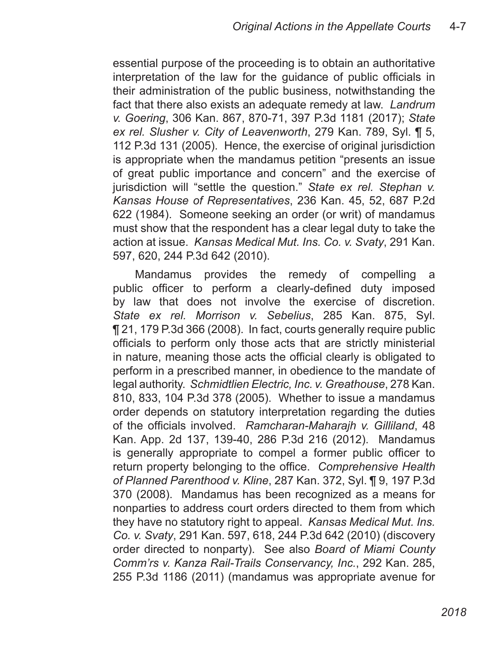essential purpose of the proceeding is to obtain an authoritative interpretation of the law for the guidance of public officials in their administration of the public business, notwithstanding the fact that there also exists an adequate remedy at law. *Landrum v. Goering*, 306 Kan. 867, 870-71, 397 P.3d 1181 (2017); *State ex rel. Slusher v. City of Leavenworth*, 279 Kan. 789, Syl. ¶ 5, 112 P.3d 131 (2005). Hence, the exercise of original jurisdiction is appropriate when the mandamus petition "presents an issue of great public importance and concern" and the exercise of jurisdiction will "settle the question." *State ex rel. Stephan v. Kansas House of Representatives*, 236 Kan. 45, 52, 687 P.2d 622 (1984). Someone seeking an order (or writ) of mandamus must show that the respondent has a clear legal duty to take the action at issue. *Kansas Medical Mut. Ins. Co. v. Svaty*, 291 Kan. 597, 620, 244 P.3d 642 (2010).

Mandamus provides the remedy of compelling a public officer to perform a clearly-defined duty imposed by law that does not involve the exercise of discretion. *State ex rel. Morrison v. Sebelius*, 285 Kan. 875, Syl. ¶ 21, 179 P.3d 366 (2008). In fact, courts generally require public officials to perform only those acts that are strictly ministerial in nature, meaning those acts the official clearly is obligated to perform in a prescribed manner, in obedience to the mandate of legal authority. *Schmidtlien Electric, Inc. v. Greathouse*, 278 Kan. 810, 833, 104 P.3d 378 (2005). Whether to issue a mandamus order depends on statutory interpretation regarding the duties of the officials involved. *Ramcharan-Maharajh v. Gilliland*, 48 Kan. App. 2d 137, 139-40, 286 P.3d 216 (2012). Mandamus is generally appropriate to compel a former public officer to return property belonging to the office. *Comprehensive Health of Planned Parenthood v. Kline*, 287 Kan. 372, Syl. ¶ 9, 197 P.3d 370 (2008). Mandamus has been recognized as a means for nonparties to address court orders directed to them from which they have no statutory right to appeal. *Kansas Medical Mut. Ins. Co. v. Svaty*, 291 Kan. 597, 618, 244 P.3d 642 (2010) (discovery order directed to nonparty). See also *Board of Miami County Comm'rs v. Kanza Rail-Trails Conservancy, Inc.*, 292 Kan. 285, 255 P.3d 1186 (2011) (mandamus was appropriate avenue for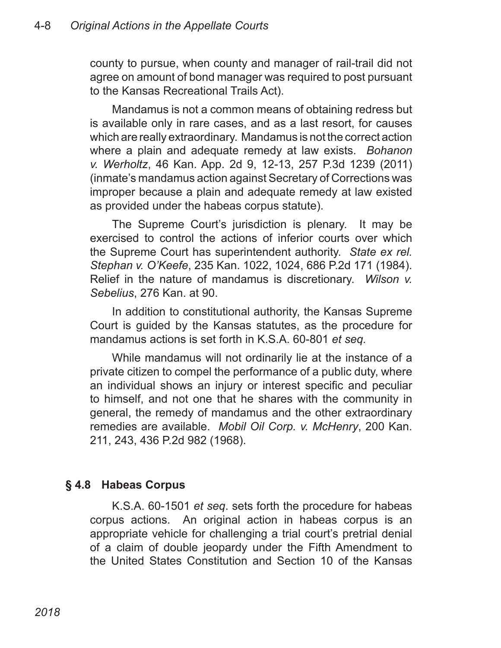county to pursue, when county and manager of rail-trail did not agree on amount of bond manager was required to post pursuant to the Kansas Recreational Trails Act).

Mandamus is not a common means of obtaining redress but is available only in rare cases, and as a last resort, for causes which are really extraordinary. Mandamus is not the correct action where a plain and adequate remedy at law exists. *Bohanon v. Werholtz*, 46 Kan. App. 2d 9, 12-13, 257 P.3d 1239 (2011) (inmate's mandamus action against Secretary of Corrections was improper because a plain and adequate remedy at law existed as provided under the habeas corpus statute).

The Supreme Court's jurisdiction is plenary. It may be exercised to control the actions of inferior courts over which the Supreme Court has superintendent authority. *State ex rel. Stephan v. O'Keefe*, 235 Kan. 1022, 1024, 686 P.2d 171 (1984). Relief in the nature of mandamus is discretionary. *Wilson v. Sebelius*, 276 Kan. at 90.

In addition to constitutional authority, the Kansas Supreme Court is guided by the Kansas statutes, as the procedure for mandamus actions is set forth in K.S.A. 60-801 *et seq.*

While mandamus will not ordinarily lie at the instance of a private citizen to compel the performance of a public duty, where an individual shows an injury or interest specific and peculiar to himself, and not one that he shares with the community in general, the remedy of mandamus and the other extraordinary remedies are available. *Mobil Oil Corp. v. McHenry*, 200 Kan. 211, 243, 436 P.2d 982 (1968).

### **§ 4.8 Habeas Corpus**

K.S.A. 60-1501 *et seq*. sets forth the procedure for habeas corpus actions. An original action in habeas corpus is an appropriate vehicle for challenging a trial court's pretrial denial of a claim of double jeopardy under the Fifth Amendment to the United States Constitution and Section 10 of the Kansas